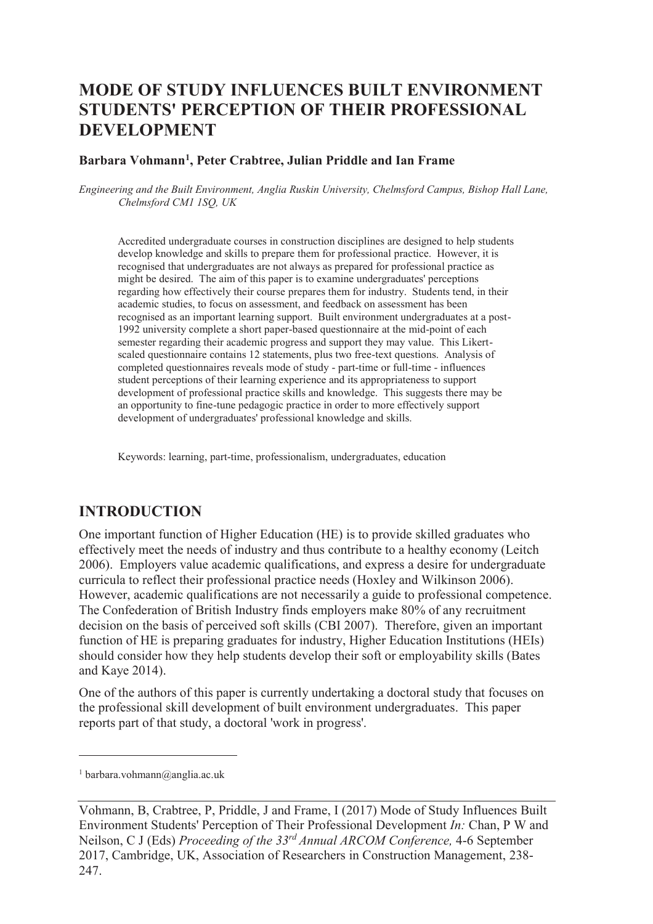# **MODE OF STUDY INFLUENCES BUILT ENVIRONMENT STUDENTS' PERCEPTION OF THEIR PROFESSIONAL DEVELOPMENT**

#### **Barbara Vohmann<sup>1</sup> , Peter Crabtree, Julian Priddle and Ian Frame**

*Engineering and the Built Environment, Anglia Ruskin University, Chelmsford Campus, Bishop Hall Lane, Chelmsford CM1 1SQ, UK* 

Accredited undergraduate courses in construction disciplines are designed to help students develop knowledge and skills to prepare them for professional practice. However, it is recognised that undergraduates are not always as prepared for professional practice as might be desired. The aim of this paper is to examine undergraduates' perceptions regarding how effectively their course prepares them for industry. Students tend, in their academic studies, to focus on assessment, and feedback on assessment has been recognised as an important learning support. Built environment undergraduates at a post-1992 university complete a short paper-based questionnaire at the mid-point of each semester regarding their academic progress and support they may value. This Likertscaled questionnaire contains 12 statements, plus two free-text questions. Analysis of completed questionnaires reveals mode of study - part-time or full-time - influences student perceptions of their learning experience and its appropriateness to support development of professional practice skills and knowledge. This suggests there may be an opportunity to fine-tune pedagogic practice in order to more effectively support development of undergraduates' professional knowledge and skills.

Keywords: learning, part-time, professionalism, undergraduates, education

### **INTRODUCTION**

One important function of Higher Education (HE) is to provide skilled graduates who effectively meet the needs of industry and thus contribute to a healthy economy (Leitch 2006). Employers value academic qualifications, and express a desire for undergraduate curricula to reflect their professional practice needs (Hoxley and Wilkinson 2006). However, academic qualifications are not necessarily a guide to professional competence. The Confederation of British Industry finds employers make 80% of any recruitment decision on the basis of perceived soft skills (CBI 2007). Therefore, given an important function of HE is preparing graduates for industry, Higher Education Institutions (HEIs) should consider how they help students develop their soft or employability skills (Bates and Kaye 2014).

One of the authors of this paper is currently undertaking a doctoral study that focuses on the professional skill development of built environment undergraduates. This paper reports part of that study, a doctoral 'work in progress'.

 $\overline{a}$ 

<sup>1</sup> barbara.vohmann@anglia.ac.uk

Vohmann, B, Crabtree, P, Priddle, J and Frame, I (2017) Mode of Study Influences Built Environment Students' Perception of Their Professional Development *In:* Chan, P W and Neilson, C J (Eds) *Proceeding of the 33rd Annual ARCOM Conference,* 4-6 September 2017, Cambridge, UK, Association of Researchers in Construction Management, 238- 247.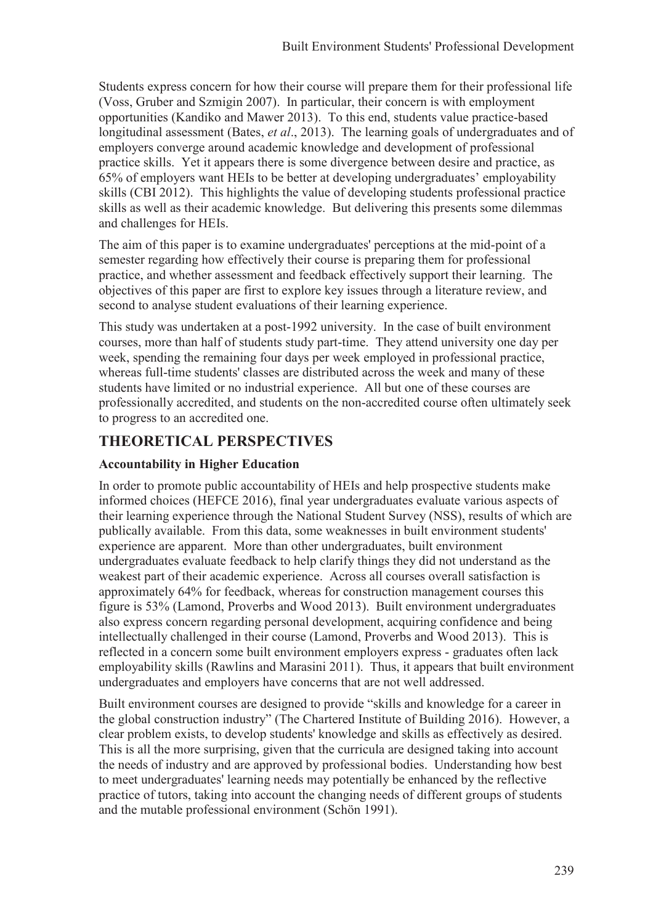Students express concern for how their course will prepare them for their professional life (Voss, Gruber and Szmigin 2007). In particular, their concern is with employment opportunities (Kandiko and Mawer 2013). To this end, students value practice-based longitudinal assessment (Bates, *et al*., 2013). The learning goals of undergraduates and of employers converge around academic knowledge and development of professional practice skills. Yet it appears there is some divergence between desire and practice, as 65% of employers want HEIs to be better at developing undergraduates' employability skills (CBI 2012). This highlights the value of developing students professional practice skills as well as their academic knowledge. But delivering this presents some dilemmas and challenges for HEIs.

The aim of this paper is to examine undergraduates' perceptions at the mid-point of a semester regarding how effectively their course is preparing them for professional practice, and whether assessment and feedback effectively support their learning. The objectives of this paper are first to explore key issues through a literature review, and second to analyse student evaluations of their learning experience.

This study was undertaken at a post-1992 university. In the case of built environment courses, more than half of students study part-time. They attend university one day per week, spending the remaining four days per week employed in professional practice, whereas full-time students' classes are distributed across the week and many of these students have limited or no industrial experience. All but one of these courses are professionally accredited, and students on the non-accredited course often ultimately seek to progress to an accredited one.

## **THEORETICAL PERSPECTIVES**

#### **Accountability in Higher Education**

In order to promote public accountability of HEIs and help prospective students make informed choices (HEFCE 2016), final year undergraduates evaluate various aspects of their learning experience through the National Student Survey (NSS), results of which are publically available. From this data, some weaknesses in built environment students' experience are apparent. More than other undergraduates, built environment undergraduates evaluate feedback to help clarify things they did not understand as the weakest part of their academic experience. Across all courses overall satisfaction is approximately 64% for feedback, whereas for construction management courses this figure is 53% (Lamond, Proverbs and Wood 2013). Built environment undergraduates also express concern regarding personal development, acquiring confidence and being intellectually challenged in their course (Lamond, Proverbs and Wood 2013). This is reflected in a concern some built environment employers express - graduates often lack employability skills (Rawlins and Marasini 2011). Thus, it appears that built environment undergraduates and employers have concerns that are not well addressed.

Built environment courses are designed to provide "skills and knowledge for a career in the global construction industry" (The Chartered Institute of Building 2016). However, a clear problem exists, to develop students' knowledge and skills as effectively as desired. This is all the more surprising, given that the curricula are designed taking into account the needs of industry and are approved by professional bodies. Understanding how best to meet undergraduates' learning needs may potentially be enhanced by the reflective practice of tutors, taking into account the changing needs of different groups of students and the mutable professional environment (Schön 1991).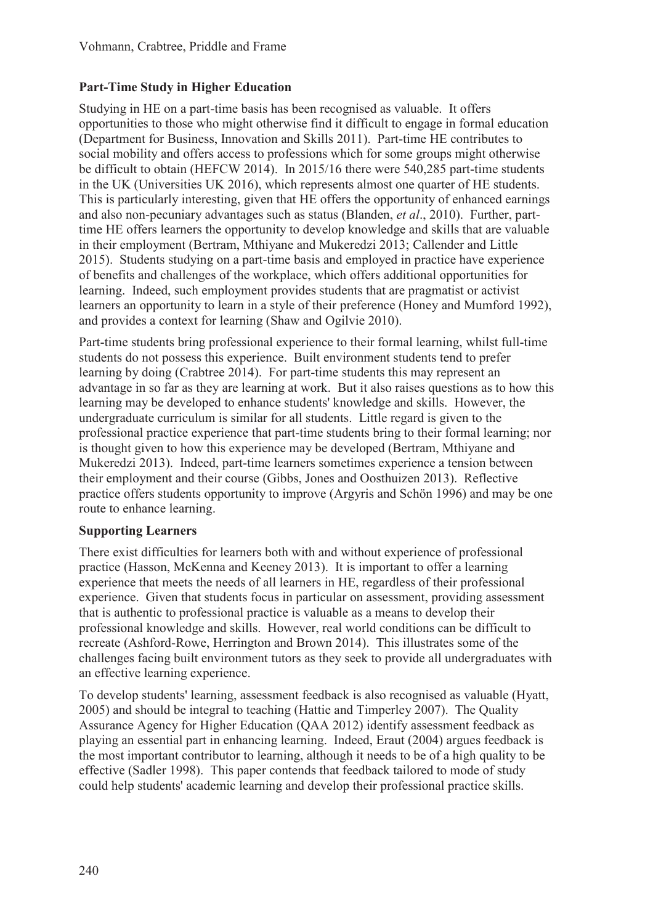### **Part-Time Study in Higher Education**

Studying in HE on a part-time basis has been recognised as valuable. It offers opportunities to those who might otherwise find it difficult to engage in formal education (Department for Business, Innovation and Skills 2011). Part-time HE contributes to social mobility and offers access to professions which for some groups might otherwise be difficult to obtain (HEFCW 2014). In 2015/16 there were 540,285 part-time students in the UK (Universities UK 2016), which represents almost one quarter of HE students. This is particularly interesting, given that HE offers the opportunity of enhanced earnings and also non-pecuniary advantages such as status (Blanden, *et al*., 2010). Further, parttime HE offers learners the opportunity to develop knowledge and skills that are valuable in their employment (Bertram, Mthiyane and Mukeredzi 2013; Callender and Little 2015). Students studying on a part-time basis and employed in practice have experience of benefits and challenges of the workplace, which offers additional opportunities for learning. Indeed, such employment provides students that are pragmatist or activist learners an opportunity to learn in a style of their preference (Honey and Mumford 1992), and provides a context for learning (Shaw and Ogilvie 2010).

Part-time students bring professional experience to their formal learning, whilst full-time students do not possess this experience. Built environment students tend to prefer learning by doing (Crabtree 2014). For part-time students this may represent an advantage in so far as they are learning at work. But it also raises questions as to how this learning may be developed to enhance students' knowledge and skills. However, the undergraduate curriculum is similar for all students. Little regard is given to the professional practice experience that part-time students bring to their formal learning; nor is thought given to how this experience may be developed (Bertram, Mthiyane and Mukeredzi 2013). Indeed, part-time learners sometimes experience a tension between their employment and their course (Gibbs, Jones and Oosthuizen 2013). Reflective practice offers students opportunity to improve (Argyris and Schön 1996) and may be one route to enhance learning.

### **Supporting Learners**

There exist difficulties for learners both with and without experience of professional practice (Hasson, McKenna and Keeney 2013). It is important to offer a learning experience that meets the needs of all learners in HE, regardless of their professional experience. Given that students focus in particular on assessment, providing assessment that is authentic to professional practice is valuable as a means to develop their professional knowledge and skills. However, real world conditions can be difficult to recreate (Ashford-Rowe, Herrington and Brown 2014). This illustrates some of the challenges facing built environment tutors as they seek to provide all undergraduates with an effective learning experience.

To develop students' learning, assessment feedback is also recognised as valuable (Hyatt, 2005) and should be integral to teaching (Hattie and Timperley 2007). The Quality Assurance Agency for Higher Education (QAA 2012) identify assessment feedback as playing an essential part in enhancing learning. Indeed, Eraut (2004) argues feedback is the most important contributor to learning, although it needs to be of a high quality to be effective (Sadler 1998). This paper contends that feedback tailored to mode of study could help students' academic learning and develop their professional practice skills.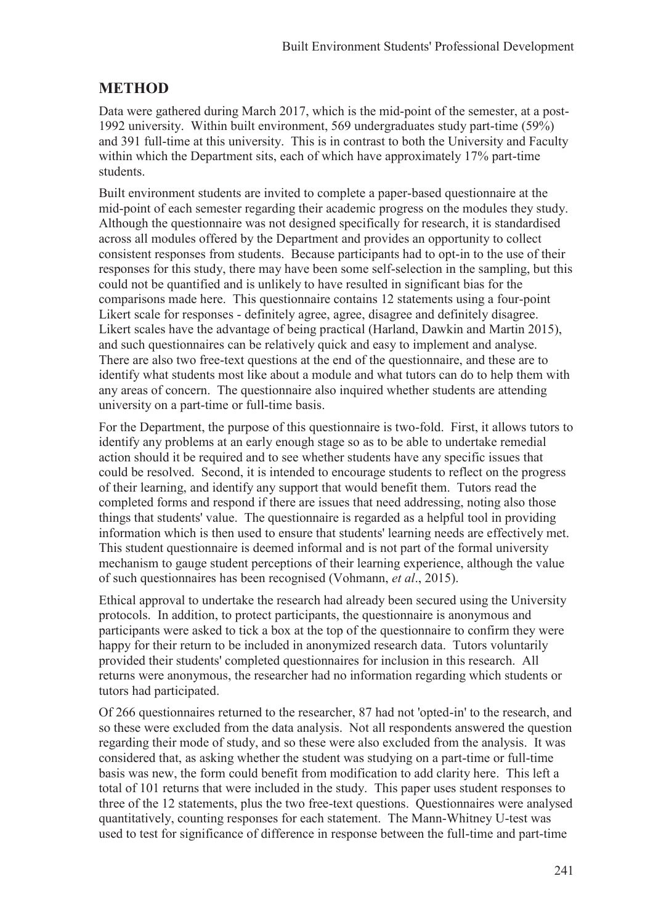## **METHOD**

Data were gathered during March 2017, which is the mid-point of the semester, at a post-1992 university. Within built environment, 569 undergraduates study part-time (59%) and 391 full-time at this university. This is in contrast to both the University and Faculty within which the Department sits, each of which have approximately 17% part-time students.

Built environment students are invited to complete a paper-based questionnaire at the mid-point of each semester regarding their academic progress on the modules they study. Although the questionnaire was not designed specifically for research, it is standardised across all modules offered by the Department and provides an opportunity to collect consistent responses from students. Because participants had to opt-in to the use of their responses for this study, there may have been some self-selection in the sampling, but this could not be quantified and is unlikely to have resulted in significant bias for the comparisons made here. This questionnaire contains 12 statements using a four-point Likert scale for responses - definitely agree, agree, disagree and definitely disagree. Likert scales have the advantage of being practical (Harland, Dawkin and Martin 2015), and such questionnaires can be relatively quick and easy to implement and analyse. There are also two free-text questions at the end of the questionnaire, and these are to identify what students most like about a module and what tutors can do to help them with any areas of concern. The questionnaire also inquired whether students are attending university on a part-time or full-time basis.

For the Department, the purpose of this questionnaire is two-fold. First, it allows tutors to identify any problems at an early enough stage so as to be able to undertake remedial action should it be required and to see whether students have any specific issues that could be resolved. Second, it is intended to encourage students to reflect on the progress of their learning, and identify any support that would benefit them. Tutors read the completed forms and respond if there are issues that need addressing, noting also those things that students' value. The questionnaire is regarded as a helpful tool in providing information which is then used to ensure that students' learning needs are effectively met. This student questionnaire is deemed informal and is not part of the formal university mechanism to gauge student perceptions of their learning experience, although the value of such questionnaires has been recognised (Vohmann, *et al*., 2015).

Ethical approval to undertake the research had already been secured using the University protocols. In addition, to protect participants, the questionnaire is anonymous and participants were asked to tick a box at the top of the questionnaire to confirm they were happy for their return to be included in anonymized research data. Tutors voluntarily provided their students' completed questionnaires for inclusion in this research. All returns were anonymous, the researcher had no information regarding which students or tutors had participated.

Of 266 questionnaires returned to the researcher, 87 had not 'opted-in' to the research, and so these were excluded from the data analysis. Not all respondents answered the question regarding their mode of study, and so these were also excluded from the analysis. It was considered that, as asking whether the student was studying on a part-time or full-time basis was new, the form could benefit from modification to add clarity here. This left a total of 101 returns that were included in the study. This paper uses student responses to three of the 12 statements, plus the two free-text questions. Questionnaires were analysed quantitatively, counting responses for each statement. The Mann-Whitney U-test was used to test for significance of difference in response between the full-time and part-time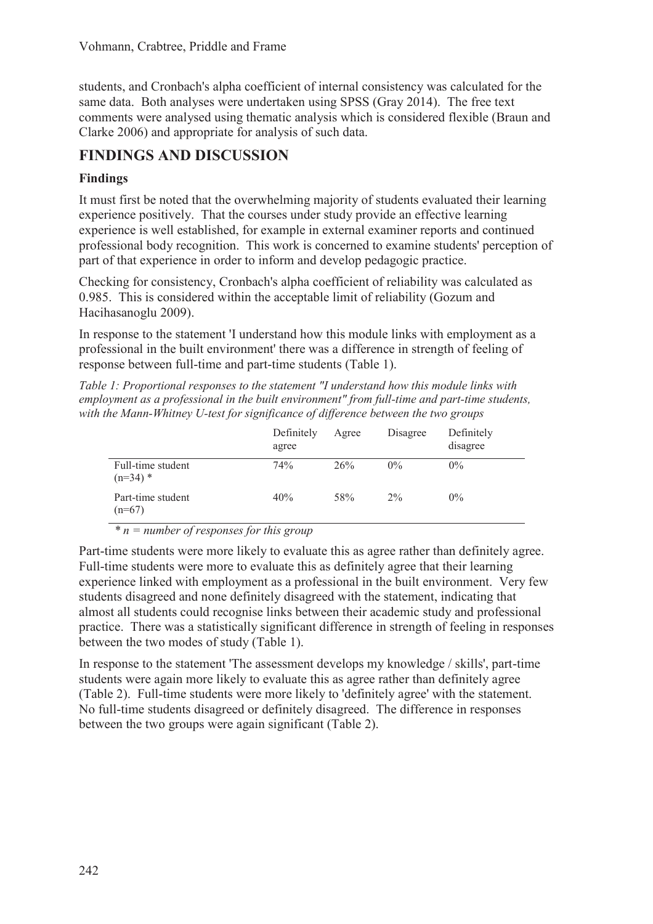students, and Cronbach's alpha coefficient of internal consistency was calculated for the same data. Both analyses were undertaken using SPSS (Gray 2014). The free text comments were analysed using thematic analysis which is considered flexible (Braun and Clarke 2006) and appropriate for analysis of such data.

# **FINDINGS AND DISCUSSION**

### **Findings**

It must first be noted that the overwhelming majority of students evaluated their learning experience positively. That the courses under study provide an effective learning experience is well established, for example in external examiner reports and continued professional body recognition. This work is concerned to examine students' perception of part of that experience in order to inform and develop pedagogic practice.

Checking for consistency, Cronbach's alpha coefficient of reliability was calculated as 0.985. This is considered within the acceptable limit of reliability (Gozum and Hacihasanoglu 2009).

In response to the statement 'I understand how this module links with employment as a professional in the built environment' there was a difference in strength of feeling of response between full-time and part-time students (Table 1).

*Table 1: Proportional responses to the statement "I understand how this module links with employment as a professional in the built environment" from full-time and part-time students, with the Mann-Whitney U-test for significance of difference between the two groups* 

|                                 | Definitely<br>agree | Agree | Disagree | Definitely<br>disagree |
|---------------------------------|---------------------|-------|----------|------------------------|
| Full-time student<br>$(n=34)$ * | 74%                 | 26%   | $0\%$    | $0\%$                  |
| Part-time student<br>$(n=67)$   | 40%                 | 58%   | $2\%$    | $0\%$                  |

*\* n = number of responses for this group* 

Part-time students were more likely to evaluate this as agree rather than definitely agree. Full-time students were more to evaluate this as definitely agree that their learning experience linked with employment as a professional in the built environment. Very few students disagreed and none definitely disagreed with the statement, indicating that almost all students could recognise links between their academic study and professional practice. There was a statistically significant difference in strength of feeling in responses between the two modes of study (Table 1).

In response to the statement 'The assessment develops my knowledge / skills', part-time students were again more likely to evaluate this as agree rather than definitely agree (Table 2). Full-time students were more likely to 'definitely agree' with the statement. No full-time students disagreed or definitely disagreed. The difference in responses between the two groups were again significant (Table 2).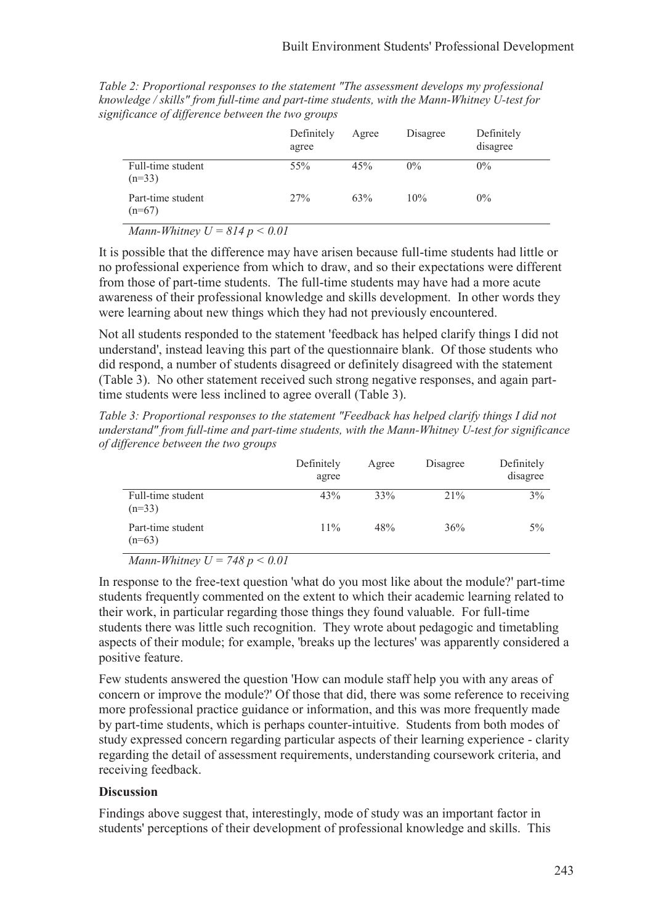| Table 2: Proportional responses to the statement "The assessment develops my professional"  |
|---------------------------------------------------------------------------------------------|
| knowledge / skills" from full-time and part-time students, with the Mann-Whitney U-test for |
| significance of difference between the two groups                                           |
|                                                                                             |

|                                                                                                                                                                                                                                                                                                                                    | Definitely<br>agree | Agree | Disagree | Definitely<br>disagree |  |
|------------------------------------------------------------------------------------------------------------------------------------------------------------------------------------------------------------------------------------------------------------------------------------------------------------------------------------|---------------------|-------|----------|------------------------|--|
| Full-time student<br>$(n=33)$                                                                                                                                                                                                                                                                                                      | 55%                 | 45%   | $0\%$    | $0\%$                  |  |
| Part-time student<br>$(n=67)$                                                                                                                                                                                                                                                                                                      | 27%                 | 63%   | 10%      | $0\%$                  |  |
| $\mathbf{M}$ $\mathbf{H}$ $\mathbf{H}$ $\mathbf{H}$ $\mathbf{H}$ $\mathbf{H}$ $\mathbf{H}$ $\mathbf{H}$ $\mathbf{H}$ $\mathbf{H}$ $\mathbf{H}$ $\mathbf{H}$ $\mathbf{H}$ $\mathbf{H}$ $\mathbf{H}$ $\mathbf{H}$ $\mathbf{H}$ $\mathbf{H}$ $\mathbf{H}$ $\mathbf{H}$ $\mathbf{H}$ $\mathbf{H}$ $\mathbf{H}$ $\mathbf{H}$ $\mathbf{$ |                     |       |          |                        |  |

*Mann-Whitney U = 814 p < 0.01* 

It is possible that the difference may have arisen because full-time students had little or no professional experience from which to draw, and so their expectations were different from those of part-time students. The full-time students may have had a more acute awareness of their professional knowledge and skills development. In other words they were learning about new things which they had not previously encountered.

Not all students responded to the statement 'feedback has helped clarify things I did not understand', instead leaving this part of the questionnaire blank. Of those students who did respond, a number of students disagreed or definitely disagreed with the statement (Table 3). No other statement received such strong negative responses, and again parttime students were less inclined to agree overall (Table 3).

*Table 3: Proportional responses to the statement "Feedback has helped clarify things I did not understand" from full-time and part-time students, with the Mann-Whitney U-test for significance of difference between the two groups* 

|                               | Definitely<br>agree | Agree | Disagree | Definitely<br>disagree |
|-------------------------------|---------------------|-------|----------|------------------------|
| Full-time student<br>$(n=33)$ | 43%                 | 33%   | 21%      | 3%                     |
| Part-time student<br>$(n=63)$ | 11%                 | 48%   | 36%      | $5\%$                  |

*Mann-Whitney U = 748 p < 0.01* 

In response to the free-text question 'what do you most like about the module?' part-time students frequently commented on the extent to which their academic learning related to their work, in particular regarding those things they found valuable. For full-time students there was little such recognition. They wrote about pedagogic and timetabling aspects of their module; for example, 'breaks up the lectures' was apparently considered a positive feature.

Few students answered the question 'How can module staff help you with any areas of concern or improve the module?' Of those that did, there was some reference to receiving more professional practice guidance or information, and this was more frequently made by part-time students, which is perhaps counter-intuitive. Students from both modes of study expressed concern regarding particular aspects of their learning experience - clarity regarding the detail of assessment requirements, understanding coursework criteria, and receiving feedback.

#### **Discussion**

Findings above suggest that, interestingly, mode of study was an important factor in students' perceptions of their development of professional knowledge and skills. This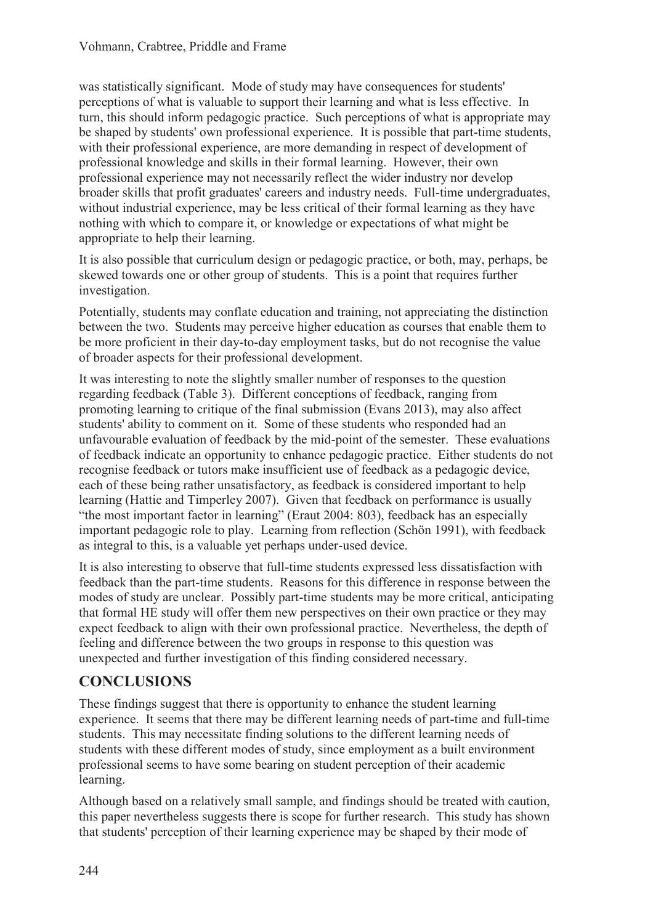was statistically significant. Mode of study may have consequences for students' perceptions of what is valuable to support their learning and what is less effective. In turn, this should inform pedagogic practice. Such perceptions of what is appropriate may be shaped by students' own professional experience. It is possible that part-time students, with their professional experience, are more demanding in respect of development of professional knowledge and skills in their formal learning. However, their own professional experience may not necessarily reflect the wider industry nor develop broader skills that profit graduates' careers and industry needs. Full-time undergraduates, without industrial experience, may be less critical of their formal learning as they have nothing with which to compare it, or knowledge or expectations of what might be appropriate to help their learning.

It is also possible that curriculum design or pedagogic practice, or both, may, perhaps, be skewed towards one or other group of students. This is a point that requires further investigation.

Potentially, students may conflate education and training, not appreciating the distinction between the two. Students may perceive higher education as courses that enable them to be more proficient in their day-to-day employment tasks, but do not recognise the value of broader aspects for their professional development.

It was interesting to note the slightly smaller number of responses to the question regarding feedback (Table 3). Different conceptions of feedback, ranging from promoting learning to critique of the final submission (Evans 2013), may also affect students' ability to comment on it. Some of these students who responded had an unfavourable evaluation of feedback by the mid-point of the semester. These evaluations of feedback indicate an opportunity to enhance pedagogic practice. Either students do not recognise feedback or tutors make insufficient use of feedback as a pedagogic device, each of these being rather unsatisfactory, as feedback is considered important to help learning (Hattie and Timperley 2007). Given that feedback on performance is usually "the most important factor in learning" (Eraut 2004: 803), feedback has an especially important pedagogic role to play. Learning from reflection (Schön 1991), with feedback as integral to this, is a valuable yet perhaps under-used device.

It is also interesting to observe that full-time students expressed less dissatisfaction with feedback than the part-time students. Reasons for this difference in response between the modes of study are unclear. Possibly part-time students may be more critical, anticipating that formal HE study will offer them new perspectives on their own practice or they may expect feedback to align with their own professional practice. Nevertheless, the depth of feeling and difference between the two groups in response to this question was unexpected and further investigation of this finding considered necessary.

## **CONCLUSIONS**

These findings suggest that there is opportunity to enhance the student learning experience. It seems that there may be different learning needs of part-time and full-time students. This may necessitate finding solutions to the different learning needs of students with these different modes of study, since employment as a built environment professional seems to have some bearing on student perception of their academic learning.

Although based on a relatively small sample, and findings should be treated with caution, this paper nevertheless suggests there is scope for further research. This study has shown that students' perception of their learning experience may be shaped by their mode of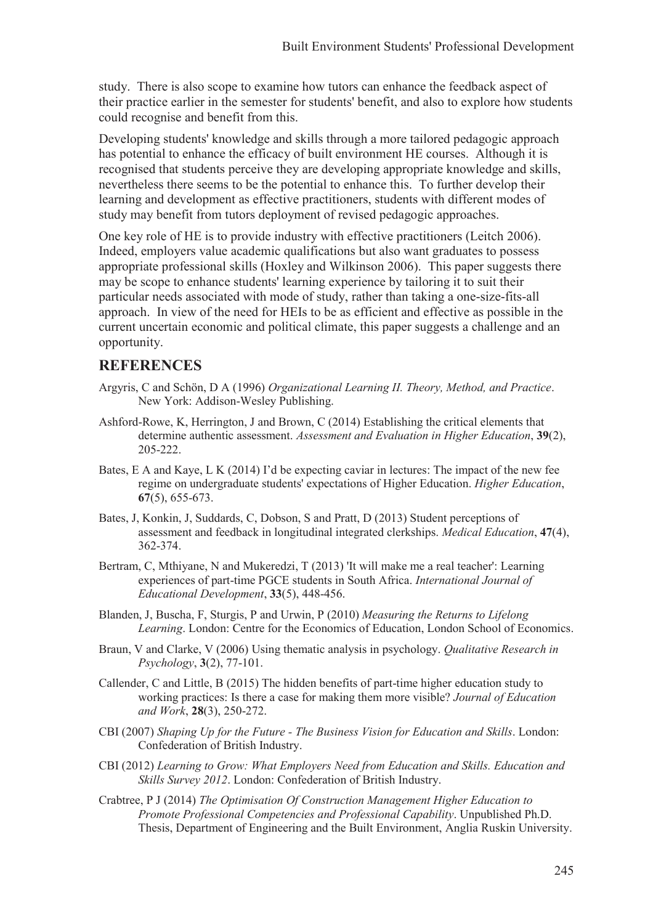study. There is also scope to examine how tutors can enhance the feedback aspect of their practice earlier in the semester for students' benefit, and also to explore how students could recognise and benefit from this.

Developing students' knowledge and skills through a more tailored pedagogic approach has potential to enhance the efficacy of built environment HE courses. Although it is recognised that students perceive they are developing appropriate knowledge and skills, nevertheless there seems to be the potential to enhance this. To further develop their learning and development as effective practitioners, students with different modes of study may benefit from tutors deployment of revised pedagogic approaches.

One key role of HE is to provide industry with effective practitioners (Leitch 2006). Indeed, employers value academic qualifications but also want graduates to possess appropriate professional skills (Hoxley and Wilkinson 2006). This paper suggests there may be scope to enhance students' learning experience by tailoring it to suit their particular needs associated with mode of study, rather than taking a one-size-fits-all approach. In view of the need for HEIs to be as efficient and effective as possible in the current uncertain economic and political climate, this paper suggests a challenge and an opportunity.

## **REFERENCES**

- Argyris, C and Schön, D A (1996) *Organizational Learning II. Theory, Method, and Practice*. New York: Addison-Wesley Publishing.
- Ashford-Rowe, K, Herrington, J and Brown, C (2014) Establishing the critical elements that determine authentic assessment. *Assessment and Evaluation in Higher Education*, **39**(2), 205-222.
- Bates, E A and Kaye, L K (2014) I'd be expecting caviar in lectures: The impact of the new fee regime on undergraduate students' expectations of Higher Education. *Higher Education*, **67**(5), 655-673.
- Bates, J, Konkin, J, Suddards, C, Dobson, S and Pratt, D (2013) Student perceptions of assessment and feedback in longitudinal integrated clerkships. *Medical Education*, **47**(4), 362-374.
- Bertram, C, Mthiyane, N and Mukeredzi, T (2013) 'It will make me a real teacher': Learning experiences of part-time PGCE students in South Africa. *International Journal of Educational Development*, **33**(5), 448-456.
- Blanden, J, Buscha, F, Sturgis, P and Urwin, P (2010) *Measuring the Returns to Lifelong Learning*. London: Centre for the Economics of Education, London School of Economics.
- Braun, V and Clarke, V (2006) Using thematic analysis in psychology. *Qualitative Research in Psychology*, **3**(2), 77-101.
- Callender, C and Little, B (2015) The hidden benefits of part-time higher education study to working practices: Is there a case for making them more visible? *Journal of Education and Work*, **28**(3), 250-272.
- CBI (2007) *Shaping Up for the Future The Business Vision for Education and Skills*. London: Confederation of British Industry.
- CBI (2012) *Learning to Grow: What Employers Need from Education and Skills. Education and Skills Survey 2012*. London: Confederation of British Industry.
- Crabtree, P J (2014) *The Optimisation Of Construction Management Higher Education to Promote Professional Competencies and Professional Capability*. Unpublished Ph.D. Thesis, Department of Engineering and the Built Environment, Anglia Ruskin University.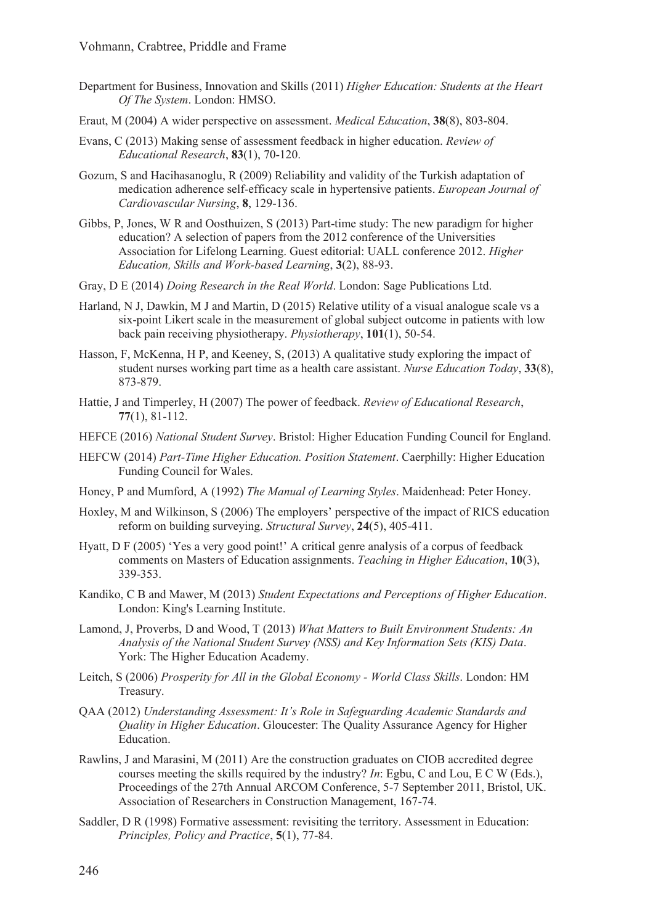- Department for Business, Innovation and Skills (2011) *Higher Education: Students at the Heart Of The System*. London: HMSO.
- Eraut, M (2004) A wider perspective on assessment. *Medical Education*, **38**(8), 803-804.
- Evans, C (2013) Making sense of assessment feedback in higher education. *Review of Educational Research*, **83**(1), 70-120.
- Gozum, S and Hacihasanoglu, R (2009) Reliability and validity of the Turkish adaptation of medication adherence self-efficacy scale in hypertensive patients. *European Journal of Cardiovascular Nursing*, **8**, 129-136.
- Gibbs, P, Jones, W R and Oosthuizen, S (2013) Part-time study: The new paradigm for higher education? A selection of papers from the 2012 conference of the Universities Association for Lifelong Learning. Guest editorial: UALL conference 2012. *Higher Education, Skills and Work-based Learning*, **3**(2), 88-93.
- Gray, D E (2014) *Doing Research in the Real World*. London: Sage Publications Ltd.
- Harland, N J, Dawkin, M J and Martin, D (2015) Relative utility of a visual analogue scale vs a six-point Likert scale in the measurement of global subject outcome in patients with low back pain receiving physiotherapy. *Physiotherapy*, **101**(1), 50-54.
- Hasson, F, McKenna, H P, and Keeney, S, (2013) A qualitative study exploring the impact of student nurses working part time as a health care assistant. *Nurse Education Today*, **33**(8), 873-879.
- Hattie, J and Timperley, H (2007) The power of feedback. *Review of Educational Research*, **77**(1), 81-112.
- HEFCE (2016) *National Student Survey*. Bristol: Higher Education Funding Council for England.
- HEFCW (2014) *Part-Time Higher Education. Position Statement*. Caerphilly: Higher Education Funding Council for Wales.
- Honey, P and Mumford, A (1992) *The Manual of Learning Styles*. Maidenhead: Peter Honey.
- Hoxley, M and Wilkinson, S (2006) The employers' perspective of the impact of RICS education reform on building surveying. *Structural Survey*, **24**(5), 405-411.
- Hyatt, D F (2005) 'Yes a very good point!' A critical genre analysis of a corpus of feedback comments on Masters of Education assignments. *Teaching in Higher Education*, **10**(3), 339-353.
- Kandiko, C B and Mawer, M (2013) *Student Expectations and Perceptions of Higher Education*. London: King's Learning Institute.
- Lamond, J, Proverbs, D and Wood, T (2013) *What Matters to Built Environment Students: An Analysis of the National Student Survey (NSS) and Key Information Sets (KIS) Data*. York: The Higher Education Academy.
- Leitch, S (2006) *Prosperity for All in the Global Economy World Class Skills*. London: HM Treasury.
- QAA (2012) *Understanding Assessment: It's Role in Safeguarding Academic Standards and Quality in Higher Education*. Gloucester: The Quality Assurance Agency for Higher Education.
- Rawlins, J and Marasini, M (2011) Are the construction graduates on CIOB accredited degree courses meeting the skills required by the industry? *In*: Egbu, C and Lou, E C W (Eds.), Proceedings of the 27th Annual ARCOM Conference, 5-7 September 2011, Bristol, UK. Association of Researchers in Construction Management, 167-74.
- Saddler, D R (1998) Formative assessment: revisiting the territory. Assessment in Education: *Principles, Policy and Practice*, **5**(1), 77-84.